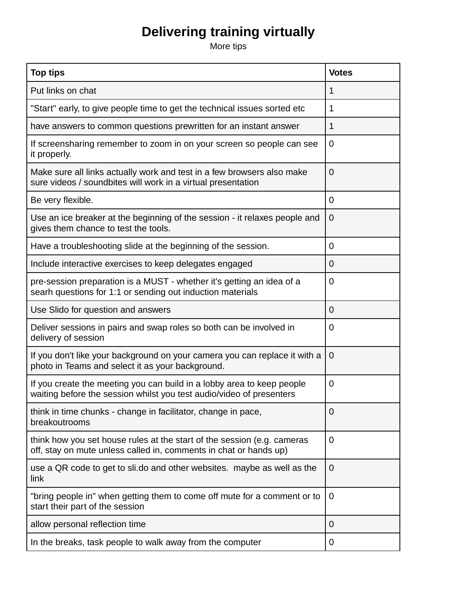## **Delivering training virtually**

More tips

| <b>Top tips</b>                                                                                                                                | <b>Votes</b>   |
|------------------------------------------------------------------------------------------------------------------------------------------------|----------------|
| Put links on chat                                                                                                                              | 1              |
| "Start" early, to give people time to get the technical issues sorted etc                                                                      | 1              |
| have answers to common questions prewritten for an instant answer                                                                              | 1              |
| If screensharing remember to zoom in on your screen so people can see<br>it properly.                                                          | $\overline{0}$ |
| Make sure all links actually work and test in a few browsers also make<br>sure videos / soundbites will work in a virtual presentation         | 0              |
| Be very flexible.                                                                                                                              | $\mathbf 0$    |
| Use an ice breaker at the beginning of the session - it relaxes people and<br>gives them chance to test the tools.                             | $\mathbf 0$    |
| Have a troubleshooting slide at the beginning of the session.                                                                                  | 0              |
| Include interactive exercises to keep delegates engaged                                                                                        | $\Omega$       |
| pre-session preparation is a MUST - whether it's getting an idea of a<br>searh questions for 1:1 or sending out induction materials            | $\overline{0}$ |
| Use Slido for question and answers                                                                                                             | $\Omega$       |
| Deliver sessions in pairs and swap roles so both can be involved in<br>delivery of session                                                     | $\overline{0}$ |
| If you don't like your background on your camera you can replace it with a<br>photo in Teams and select it as your background.                 | $\overline{0}$ |
| If you create the meeting you can build in a lobby area to keep people<br>waiting before the session whilst you test audio/video of presenters | $\mathbf 0$    |
| think in time chunks - change in facilitator, change in pace,<br>breakoutrooms                                                                 | 0              |
| think how you set house rules at the start of the session (e.g. cameras<br>off, stay on mute unless called in, comments in chat or hands up)   | $\overline{0}$ |
| use a QR code to get to sli.do and other websites. maybe as well as the<br>link                                                                | $\overline{0}$ |
| "bring people in" when getting them to come off mute for a comment or to<br>start their part of the session                                    | 0              |
| allow personal reflection time                                                                                                                 | 0              |
| In the breaks, task people to walk away from the computer                                                                                      | 0              |